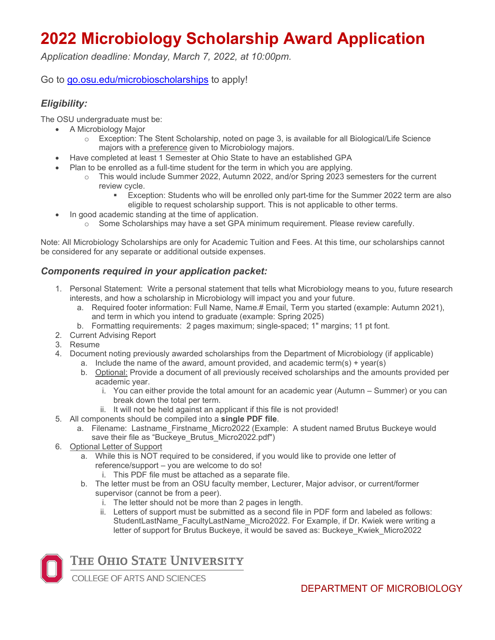## **2022 Microbiology Scholarship Award Application**

*Application deadline: Monday, March 7, 2022, at 10:00pm.*

Go to [go.osu.edu/microbioscholarships](https://go.osu.edu/microbioscholarships) to apply!

### *Eligibility:*

The OSU undergraduate must be:

- A Microbiology Major
	- o Exception: The Stent Scholarship, noted on page 3, is available for all Biological/Life Science majors with a preference given to Microbiology majors.
- Have completed at least 1 Semester at Ohio State to have an established GPA
- Plan to be enrolled as a full-time student for the term in which you are applying.
	- This would include Summer 2022, Autumn 2022, and/or Spring 2023 semesters for the current review cycle.
		- Exception: Students who will be enrolled only part-time for the Summer 2022 term are also eligible to request scholarship support. This is not applicable to other terms.
- In good academic standing at the time of application.
	- $\circ$  Some Scholarships may have a set GPA minimum requirement. Please review carefully.

Note: All Microbiology Scholarships are only for Academic Tuition and Fees. At this time, our scholarships cannot be considered for any separate or additional outside expenses.

#### *Components required in your application packet:*

- 1. Personal Statement: Write a personal statement that tells what Microbiology means to you, future research interests, and how a scholarship in Microbiology will impact you and your future.
	- a. Required footer information: Full Name, Name.# Email, Term you started (example: Autumn 2021), and term in which you intend to graduate (example: Spring 2025)
	- b. Formatting requirements: 2 pages maximum; single-spaced; 1" margins; 11 pt font.
- 2. Current Advising Report
- 3. Resume
- 4. Document noting previously awarded scholarships from the Department of Microbiology (if applicable)
	- a. Include the name of the award, amount provided, and academic term(s) + year(s)
	- b. Optional: Provide a document of all previously received scholarships and the amounts provided per academic year.
		- i. You can either provide the total amount for an academic year (Autumn Summer) or you can break down the total per term.
		- ii. It will not be held against an applicant if this file is not provided!
- 5. All components should be compiled into a **single PDF file**.
	- a. Filename: Lastname Firstname Micro2022 (Example: A student named Brutus Buckeye would save their file as "Buckeye\_Brutus\_Micro2022.pdf")
- 6. Optional Letter of Support
	- a. While this is NOT required to be considered, if you would like to provide one letter of reference/support – you are welcome to do so!
		- i. This PDF file must be attached as a separate file.
	- b. The letter must be from an OSU faculty member, Lecturer, Major advisor, or current/former supervisor (cannot be from a peer).
		- i. The letter should not be more than 2 pages in length.
		- ii. Letters of support must be submitted as a second file in PDF form and labeled as follows: StudentLastName\_FacultyLastName\_Micro2022. For Example, if Dr. Kwiek were writing a letter of support for Brutus Buckeye, it would be saved as: Buckeye\_Kwiek\_Micro2022



**COLLEGE OF ARTS AND SCIENCES**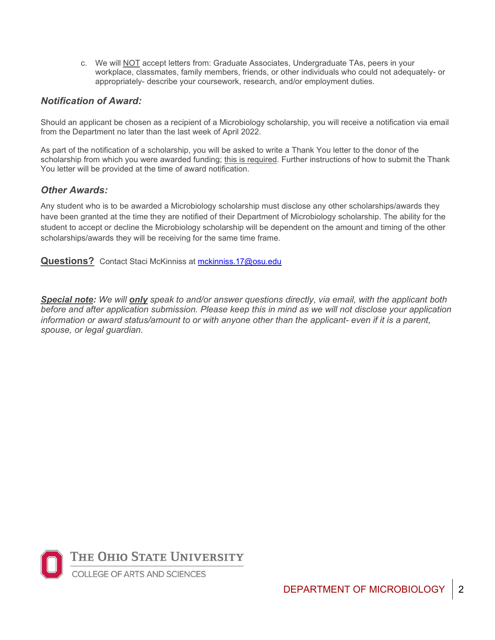c. We will NOT accept letters from: Graduate Associates, Undergraduate TAs, peers in your workplace, classmates, family members, friends, or other individuals who could not adequately- or appropriately- describe your coursework, research, and/or employment duties.

#### *Notification of Award:*

Should an applicant be chosen as a recipient of a Microbiology scholarship, you will receive a notification via email from the Department no later than the last week of April 2022.

As part of the notification of a scholarship, you will be asked to write a Thank You letter to the donor of the scholarship from which you were awarded funding; this is required. Further instructions of how to submit the Thank You letter will be provided at the time of award notification.

#### *Other Awards:*

Any student who is to be awarded a Microbiology scholarship must disclose any other scholarships/awards they have been granted at the time they are notified of their Department of Microbiology scholarship. The ability for the student to accept or decline the Microbiology scholarship will be dependent on the amount and timing of the other scholarships/awards they will be receiving for the same time frame.

**Questions?** Contact Staci McKinniss at [mckinniss.17@osu.edu](mailto:mckinniss.17@osu.edu)

*Special note: We will only speak to and/or answer questions directly, via email, with the applicant both before and after application submission. Please keep this in mind as we will not disclose your application information or award status/amount to or with anyone other than the applicant- even if it is a parent, spouse, or legal guardian.*